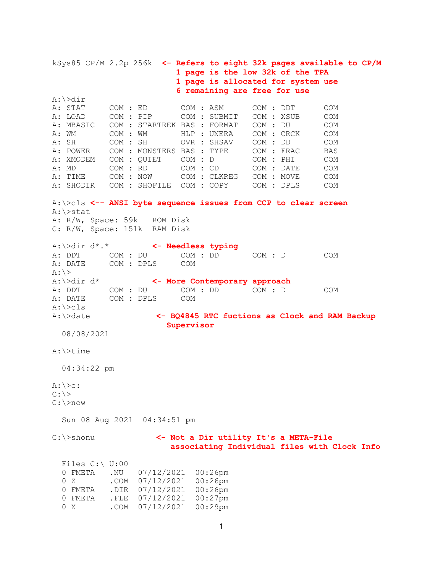kSys85 CP/M 2.2p 256k <- Refers to eight 32k pages available to CP/M 1 page is the low 32k of the TPA 1 page is allocated for system use 6 remaining are free for use A:\>dir<br>A: STAT COM : ED COM : ASM COM : DDT COM A: LOAD COM : PIP COM : SUBMIT COM : XSUB COM A: MBASIC COM : STARTREK BAS : FORMAT COM : DU COM A: WM  $COM$  : WM  $HLP$  : UNERA COM : CRCK COM A: SH COM : SH OVR : SHSAV COM : DD COM A: POWER COM : MONSTERS BAS : TYPE COM : FRAC BAS<br>A: XMODEM COM : QUIET COM : D COM : PHI COM A: XMODEM COM : QUIET COM : D COM : PHI COM A: MD COM : RD COM : CD COM : DATE COM A: MD COM : RD COM : CD COM : DATE COM A: TIME COM : NOW COM : CLKREG COM : MOVE COM A: SHODIR COM : SHOFILE COM : COPY COM : DPLS COM A:\>cls <-- ANSI byte sequence issues from CCP to clear screen A:\>stat A: R/W, Space: 59k ROM Disk C: R/W, Space: 151k RAM Disk A:\>dir d\*.\* <- Needless typing COM : DU COM : DD COM : D COM A: DATE COM : DPLS COM  $A: \>$ A:\>dir d\* <- More Contemporary approach A: DDT COM : DU COM : DD COM : D COM A: DATE COM : DPLS COM A:\>cls<br>A:\>date A:\>date <- BQ4845 RTC fuctions as Clock and RAM Backup Supervisor 08/08/2021 A:\>time 04:34:22 pm  $A:\searrow c:$  $C: \>$ C:\>now Sun 08 Aug 2021 04:34:51 pm C:\>shonu <- Not a Dir utility It's a META-File associating Individual files with Clock Info Files C:\ U:00 0 FMETA .NU 07/12/2021 00:26pm .COM 07/12/2021 00:26pm 0 FMETA .DIR 07/12/2021 00:26pm 0 FMETA .FLE 07/12/2021 00:27pm

0 X .COM 07/12/2021 00:29pm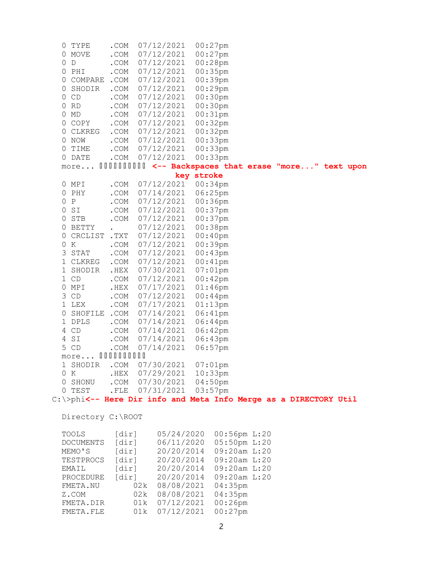| U       | TYPE                                                                       | .COM                    |     | 07/12/2021         |            | $00:27$ pm                                              |  |  |  |
|---------|----------------------------------------------------------------------------|-------------------------|-----|--------------------|------------|---------------------------------------------------------|--|--|--|
| 0       | MOVE                                                                       | .COM                    |     | 07/12/2021         |            | $00:27$ pm                                              |  |  |  |
| 0<br>D  |                                                                            | .COM                    |     | 07/12/2021         |            | $00:28$ pm                                              |  |  |  |
| 0       | PHI                                                                        | .COM                    |     | 07/12/2021         |            | $00:35$ pm                                              |  |  |  |
| 0       | COMPARE .COM                                                               |                         |     | 07/12/2021         |            | $00:39$ pm                                              |  |  |  |
| 0       | SHODIR                                                                     | .COM                    |     | 07/12/2021         |            | $00:29$ pm                                              |  |  |  |
| 0       | CD                                                                         | .COM                    |     | 07/12/2021         |            | $00:30$ pm                                              |  |  |  |
| 0<br>RD |                                                                            | .COM                    |     | 07/12/2021         |            | $00:30$ pm                                              |  |  |  |
| 0<br>MD |                                                                            | .COM                    |     | 07/12/2021         |            | $00:31$ pm                                              |  |  |  |
|         | 0 COPY                                                                     | .COM                    |     | 07/12/2021         |            | $00:32$ pm                                              |  |  |  |
| 0       | CLKREG                                                                     | $\mathsf{.COM}$         |     | 07/12/2021         |            | $00:32$ pm                                              |  |  |  |
| 0 NOW   |                                                                            | .COM                    |     | 07/12/2021         |            | $00:33$ pm                                              |  |  |  |
| 0       | TIME                                                                       | .COM                    |     | 07/12/2021         |            | $00:33$ pm                                              |  |  |  |
|         | 0 DATE                                                                     | .COM                    |     | 07/12/2021         |            | $00:33$ pm                                              |  |  |  |
|         | more                                                                       |                         |     |                    |            | IIIIIIIIIIII <-- Backspaces that erase "more" text upon |  |  |  |
|         |                                                                            |                         |     |                    | key stroke |                                                         |  |  |  |
| 0 MPI   |                                                                            | .COM                    |     | 07/12/2021         |            | $00:34$ pm                                              |  |  |  |
| 0 PHY   |                                                                            | .COM                    |     | 07/14/2021         |            | $06:25$ pm                                              |  |  |  |
| 0 P     |                                                                            | .COM                    |     | 07/12/2021         |            | 00:36pm                                                 |  |  |  |
| 0<br>SI |                                                                            | .COM                    |     | 07/12/2021         |            | $00:37$ pm                                              |  |  |  |
| 0       | STB                                                                        | $. \mathsf{COM}$        |     | 07/12/2021         |            | $00:37$ pm                                              |  |  |  |
| 0       | BETTY                                                                      |                         |     | 07/12/2021         |            | $00:38$ pm                                              |  |  |  |
| 0       | CRCLIST . TXT                                                              |                         |     | 07/12/2021         |            | $00:40$ pm                                              |  |  |  |
| 0<br>K  |                                                                            | .COM                    |     | 07/12/2021         |            | $00:39$ pm                                              |  |  |  |
| 3       | STAT                                                                       | .COM                    |     | 07/12/2021         |            | $00:43$ pm                                              |  |  |  |
|         | 1 CLKREG                                                                   | .COM                    |     | 07/12/2021         |            | $00:41$ pm                                              |  |  |  |
|         | 1 SHODIR                                                                   | $. \mathrm{HEX}$        |     | 07/30/2021         |            | $07:01$ pm                                              |  |  |  |
| 1 CD    |                                                                            | .COM                    |     | 07/12/2021         |            | $00:42$ pm                                              |  |  |  |
| 0       | MPI                                                                        | $.$ HEX                 |     | 07/17/2021         |            | $01:46$ pm                                              |  |  |  |
| 3       | CD                                                                         | .COM                    |     | 07/12/2021         |            | $00:44$ pm                                              |  |  |  |
| 1 LEX   |                                                                            | .COM                    |     | 07/17/2021         |            | $01:13$ pm                                              |  |  |  |
| 0       | SHOFILE . COM                                                              |                         |     | 07/14/2021         |            | 06:41pm                                                 |  |  |  |
|         | 1 DPLS                                                                     | .COM                    |     | 07/14/2021         |            | $06:44$ pm                                              |  |  |  |
| 4       | CD                                                                         | .COM                    |     | 07/14/2021         |            | 06:42pm                                                 |  |  |  |
| 4       | SI                                                                         | .COM                    |     | 07/14/2021         |            | 06:43pm                                                 |  |  |  |
| 5<br>CD |                                                                            | .COM                    |     | 07/14/2021         |            | $06:57$ pm                                              |  |  |  |
|         | more 0000000000                                                            |                         |     |                    |            |                                                         |  |  |  |
| 1       | SHODIR                                                                     | .COM                    |     | 07/30/2021         |            | $07:01$ pm                                              |  |  |  |
| 0 K     |                                                                            | .HEX 07/29/2021 10:33pm |     |                    |            |                                                         |  |  |  |
|         | 0 SHONU                                                                    | .COM 07/30/2021 04:50pm |     |                    |            |                                                         |  |  |  |
|         | 0 TEST                                                                     | . <sub>FLE</sub>        |     | 07/31/2021 03:57pm |            |                                                         |  |  |  |
|         | $C:\rangle >$ phi<-- Here Dir info and Meta Info Merge as a DIRECTORY Util |                         |     |                    |            |                                                         |  |  |  |
|         |                                                                            |                         |     |                    |            |                                                         |  |  |  |
|         | Directory C:\ROOT                                                          |                         |     |                    |            |                                                         |  |  |  |
| TOOLS   |                                                                            | [dir]                   |     | 05/24/2020         |            | 00:56pm L:20                                            |  |  |  |
|         | <b>DOCUMENTS</b>                                                           | [dir]                   |     | 06/11/2020         |            | 05:50pm L:20                                            |  |  |  |
|         | MEMO'S                                                                     | [dir]                   |     | 20/20/2014         |            | 09:20am L:20                                            |  |  |  |
|         | TESTPROCS                                                                  | [dir]                   |     | 20/20/2014         |            | 09:20am L:20                                            |  |  |  |
| EMAIL   |                                                                            | [dir]                   |     | 20/20/2014         |            | 09:20am L:20                                            |  |  |  |
|         | PROCEDURE                                                                  | [dir]                   |     | 20/20/2014         |            | 09:20am L:20                                            |  |  |  |
|         | FMETA.NU                                                                   |                         | 02k | 08/08/2021         |            | 04:35pm                                                 |  |  |  |
| Z.COM   |                                                                            |                         | 02k | 08/08/2021         |            | 04:35pm                                                 |  |  |  |
|         | FMETA.DIR                                                                  |                         | 01k | 07/12/2021         |            | $00:26$ pm                                              |  |  |  |
|         |                                                                            |                         |     |                    |            |                                                         |  |  |  |

FMETA.FLE 01k 07/12/2021 00:27pm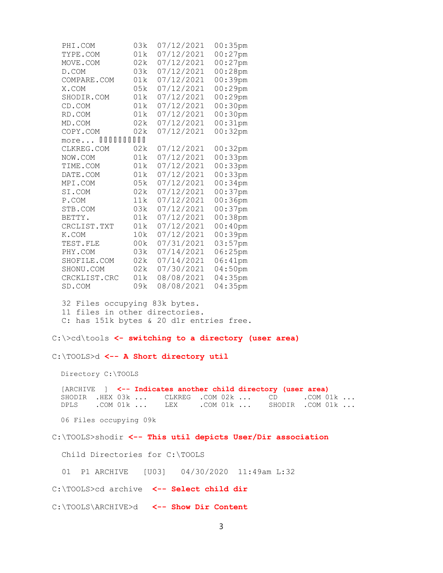| PHI.COM           | 03k  | 07/12/2021 | 00:35pm    |
|-------------------|------|------------|------------|
| TYPE.COM          | 01k  | 07/12/2021 | $00:27$ pm |
| MOVE.COM          | 02k  | 07/12/2021 | $00:27$ pm |
| D.COM             | 03k  | 07/12/2021 | 00:28pm    |
| COMPARE.COM       | 01k  | 07/12/2021 | $00:39$ pm |
| X.COM             | 05k  | 07/12/2021 | $00:29$ pm |
| SHODIR.COM        | 01k  | 07/12/2021 | 00:29pm    |
| CD.COM            | 01k  | 07/12/2021 | $00:30$ pm |
| RD.COM            | 01k  | 07/12/2021 | $00:30$ pm |
| MD.COM            | 02k  | 07/12/2021 | 00:31pm    |
| COPY.COM          | 02k  | 07/12/2021 | 00:32pm    |
| 000000000<br>more |      |            |            |
| CLKREG.COM        | 02k  | 07/12/2021 | 00:32pm    |
| NOW.COM           | 01k  | 07/12/2021 | 00:33pm    |
| TIME.COM          | 01k  | 07/12/2021 | $00:33$ pm |
| DATE.COM          | 01k  | 07/12/2021 | 00:33pm    |
| MPI.COM           | 05k  | 07/12/2021 | 00:34pm    |
| SI.COM            | 02k  | 07/12/2021 | 00:37pm    |
| P.COM             | 11k  | 07/12/2021 | $00:36$ pm |
| STB.COM           | 03k  | 07/12/2021 | $00:37$ pm |
| BETTY.            | 01k  | 07/12/2021 | 00:38pm    |
| CRCLIST.TXT       | 01 k | 07/12/2021 | $00:40$ pm |
| K.COM             | 10k  | 07/12/2021 | $00:39$ pm |
| TEST.FLE          | 00k  | 07/31/2021 | $03:57$ pm |
| PHY.COM           | 03k  | 07/14/2021 | 06:25pm    |
| SHOFILE.COM       | 02k  | 07/14/2021 | 06:41pm    |
| SHONU.COM         | 02k  | 07/30/2021 | $04:50$ pm |
| CRCKLIST.CRC      | 01k  | 08/08/2021 | 04:35pm    |
| SD.COM            | 09k  | 08/08/2021 | 04:35pm    |

 32 Files occupying 83k bytes. 11 files in other directories. C: has 151k bytes & 20 d1r entries free.

C:\>cd\tools <- switching to a directory (user area)

C:\TOOLS>d <-- A Short directory util

Directory C:\TOOLS

[ARCHIVE ] <-- Indicates another child directory (user area) SHODIR .HEX 03k ... CLKREG .COM 02k ... CD .COM 01k ... DPLS .COM 01k ... LEX .COM 01k ... SHODIR .COM 01k ...

06 Files occupying 09k

C:\TOOLS>shodir <-- This util depicts User/Dir association

Child Directories for C:\TOOLS

01 P1 ARCHIVE [U03] 04/30/2020 11:49am L:32

C:\TOOLS>cd archive <-- Select child dir

C:\TOOLS\ARCHIVE>d <-- Show Dir Content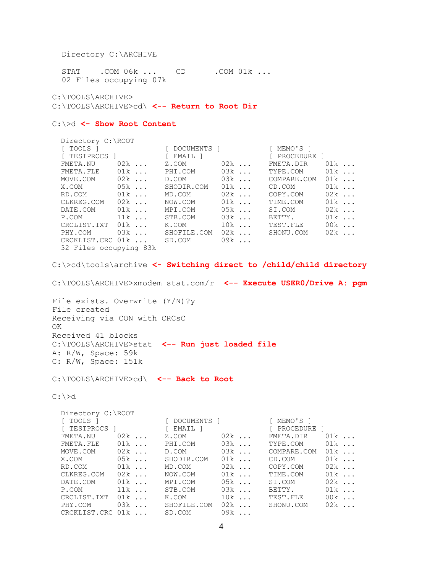Directory C:\ARCHIVE

STAT . COM 06k ... CD . COM 01k ... 02 Files occupying 07k

C:\TOOLS\ARCHIVE>

C:\TOOLS\ARCHIVE>cd\ <-- Return to Root Dir

## C: \>d <- Show Root Content

| Directory C:\ROOT      |             |       |             |       |
|------------------------|-------------|-------|-------------|-------|
| [ TOOLS ]              | [ DOCUMENTS | - 1 - | [ MEMO'S ]  |       |
| TESTPROCS 1            | i EMAIL 1   |       | [ PROCEDURE |       |
| FMETA.NU<br>$02k$      | Z.COM       | $02k$ | FMETA.DIR   | $01k$ |
| $01k$<br>FMETA.FLE     | PHI.COM     | $03k$ | TYPE.COM    | $01k$ |
| $02k$<br>MOVE.COM      | D.COM       | $03k$ | COMPARE.COM | $01k$ |
| $0.5k$<br>X.COM        | SHODIR.COM  | $01k$ | CD.COM      | $01k$ |
| $01k$<br>RD.COM        | MD.COM      | $02k$ | COPY.COM    | $02k$ |
| $02k$<br>CLKREG.COM    | NOW.COM     | $01k$ | TIME.COM    | $01k$ |
| $01k$<br>DATE.COM      | MPI.COM     | $05k$ | SI.COM      | $02k$ |
| $11k$<br>P.COM         | STB.COM     | $03k$ | BETTY.      | $01k$ |
| CRCLIST.TXT<br>01k     | K.COM       | $10k$ | TEST.FLE    | $00k$ |
| $03k$<br>PHY.COM       | SHOFILE.COM | $02k$ | SHONU.COM   | $02k$ |
| CRCKLIST.CRC 01k       | SD.COM      | $09k$ |             |       |
| 32 Files occupying 83k |             |       |             |       |

C:\>cd\tools\archive <- Switching direct to /child/child directory

C:\TOOLS\ARCHIVE>xmodem stat.com/r <-- Execute USER0/Drive A: pgm

File exists. Overwrite (Y/N)?y File created Receiving via CON with CRCsC OK Received 41 blocks C:\TOOLS\ARCHIVE>stat <-- Run just loaded file A: R/W, Space: 59k C: R/W, Space: 151k

C:\TOOLS\ARCHIVE>cd\ <-- Back to Root

C:\>d

| Directory C:\ROOT |        |               |                   |             |       |
|-------------------|--------|---------------|-------------------|-------------|-------|
| TOOLS 1           |        | [ DOCUMENTS ] |                   | [ MEMO'S ]  |       |
| TESTPROCS 1       |        | [ EMAIL ]     |                   | [ PROCEDURE |       |
| FMETA.NU          | $02k$  | Z.COM         | $02k$             | FMETA.DIR   | $01k$ |
| FMETA.FLE         | $01k$  | PHI.COM       | $03k$             | TYPE.COM    | $01k$ |
| MOVE.COM          | $02k$  | D.COM         | $03k$             | COMPARE.COM | $01k$ |
| X.COM             | $05k$  | SHODIR.COM    | $01k$             | CD.COM      | $01k$ |
| RD.COM            | $01k$  | MD.COM        | $02k$             | COPY.COM    | $02k$ |
| CLKREG.COM        | $02k$  | NOW.COM       | $01k$             | TIME.COM    | $01k$ |
| DATE.COM          | $01k$  | MPI.COM       | $0.5k$            | SI.COM      | $02k$ |
| P.COM             | $11k$  | STB.COM       | $03k$             | BETTY.      | $01k$ |
| CRCLIST.TXT       | $01k$  | K.COM         | $10k$             | TEST.FLE    | $00k$ |
| PHY.COM           | $0.3k$ | SHOFILE.COM   | $02k$             | SHONU.COM   | $02k$ |
| CRCKLIST.CRC      | 01k    | SD.COM        | 0.9k<br>$\cdot$ . |             |       |